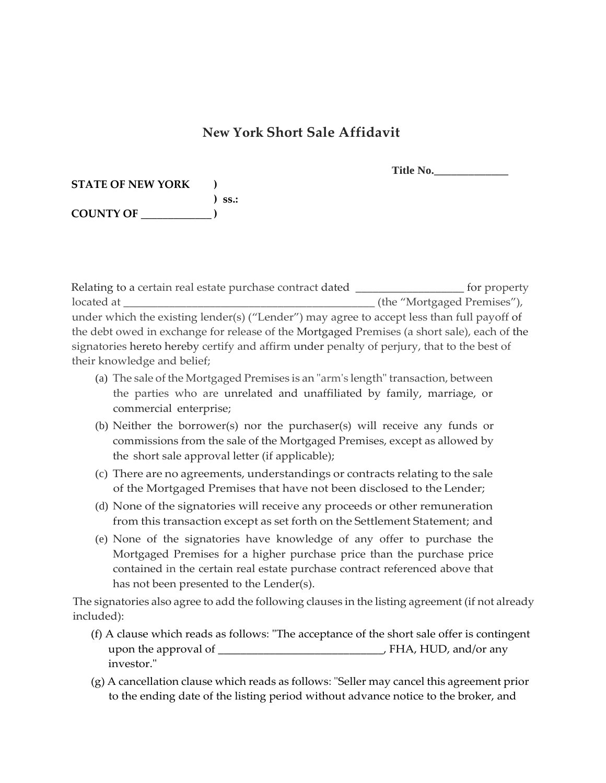## **New York Short Sale Affidavit**

| Title No. |  |
|-----------|--|
|-----------|--|

| <b>STATE OF NEW YORK</b> |             |
|--------------------------|-------------|
|                          | $\sum$ SS.: |
| <b>COUNTY OF</b>         |             |

Relating to a certain real estate purchase contract dated \_\_\_\_\_\_\_\_\_\_\_\_\_\_\_\_\_\_\_\_\_\_ for property located at  $\qquad \qquad$  (the "Mortgaged Premises"), under which the existing lender(s) ("Lender") may agree to accept less than full payoff of the debt owed in exchange for release of the Mortgaged Premises (a short sale), each of the signatories hereto hereby certify and affirm under penalty of perjury, that to the best of their knowledge and belief;

- (a) The sale of the Mortgaged Premises is an "arm's length" transaction, between the parties who are unrelated and unaffiliated by family, marriage, or commercial enterprise;
- (b) Neither the borrower(s) nor the purchaser(s) will receive any funds or commissions from the sale of the Mortgaged Premises, except as allowed by the short sale approval letter (if applicable);
- (c) There are no agreements, understandings or contracts relating to the sale of the Mortgaged Premises that have not been disclosed to the Lender;
- (d) None of the signatories will receive any proceeds or other remuneration from this transaction except as set forth on the Settlement Statement; and
- (e) None of the signatories have knowledge of any offer to purchase the Mortgaged Premises for a higher purchase price than the purchase price contained in the certain real estate purchase contract referenced above that has not been presented to the Lender(s).

The signatories also agree to add the following clauses in the listing agreement (if not already included):

- (f) A clause which reads as follows: "The acceptance of the short sale offer is contingent upon the approval of \_\_\_\_\_\_\_\_\_\_\_\_\_\_\_\_\_\_\_\_\_\_\_\_\_\_\_\_\_, FHA, HUD, and/or any investor."
- (g) A cancellation clause which reads as follows: "Seller may cancel this agreement prior to the ending date of the listing period without advance notice to the broker, and